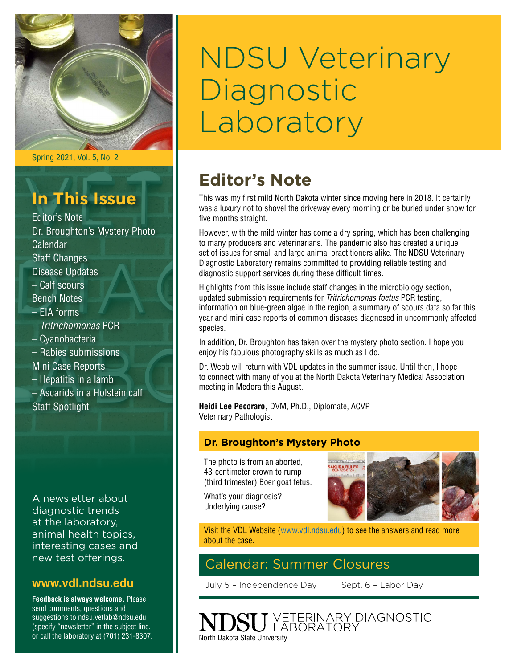

Spring 2021, Vol. 5, No. 2

# **In This Issue**

Editor's Note Dr. Broughton's Mystery Photo Calendar Staff Changes Disease Updates – Calf scours Bench Notes – EIA forms – *Tritrichomonas* PCR – Cyanobacteria – Rabies submissions Mini Case Reports – Hepatitis in a lamb – Ascarids in a Holstein calf

A newsletter about diagnostic trends at the laboratory, animal health topics, interesting cases and new test offerings.

Staff Spotlight

#### **[www.vdl.ndsu.edu](file:///C:\Users\david.haasser\AppData\Local\Microsoft\Windows\Temporary%20Internet%20Files\Content.Outlook\2SAH4N2J\www.ag.ndsu.edu\ansc\)**

**Feedback is always welcome.** Please send comments, questions and suggestions to ndsu.vetlab@ndsu.edu (specify "newsletter" in the subject line. or call the laboratory at (701) 231-8307.

# NDSU Veterinary Diagnostic Laboratory

### **Editor's Note**

This was my first mild North Dakota winter since moving here in 2018. It certainly was a luxury not to shovel the driveway every morning or be buried under snow for five months straight.

However, with the mild winter has come a dry spring, which has been challenging to many producers and veterinarians. The pandemic also has created a unique set of issues for small and large animal practitioners alike. The NDSU Veterinary Diagnostic Laboratory remains committed to providing reliable testing and diagnostic support services during these difficult times.

Highlights from this issue include staff changes in the microbiology section, updated submission requirements for *Tritrichomonas foetus* PCR testing, information on blue-green algae in the region, a summary of scours data so far this year and mini case reports of common diseases diagnosed in uncommonly affected species.

In addition, Dr. Broughton has taken over the mystery photo section. I hope you enjoy his fabulous photography skills as much as I do.

Dr. Webb will return with VDL updates in the summer issue. Until then, I hope to connect with many of you at the North Dakota Veterinary Medical Association meeting in Medora this August.

**Heidi Lee Pecoraro,** DVM, Ph.D., Diplomate, ACVP Veterinary Pathologist

#### **Dr. Broughton's Mystery Photo**

The photo is from an aborted, 43-centimeter crown to rump (third trimester) Boer goat fetus.

What's your diagnosis? Underlying cause?



Visit the VDL Website (www.vdl.ndsu.edu) to see the answers and read more about the case.

#### Calendar: Summer Closures

July 5 - Independence Day Sept. 6 - Labor Day

VETERINARY DIAGNOSTIC<br>LABORATORY North Dakota State University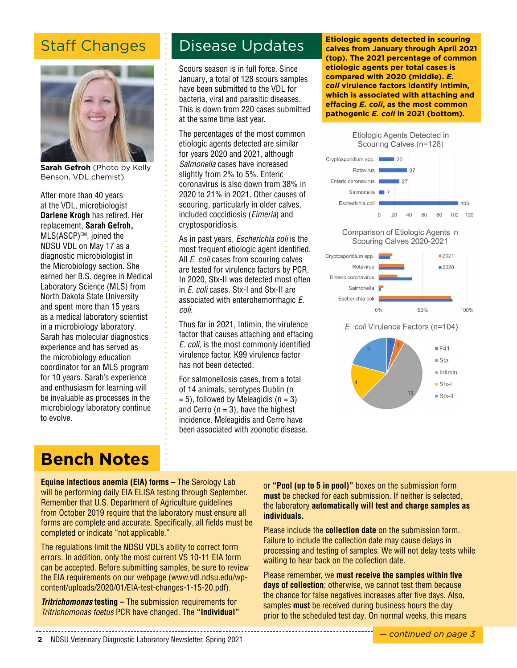### Staff Changes



**Sarah Gefroh** (Photo by Kelly Benson, VDL chemist)

After more than 40 years at the VDL, microbiologist **Darlene Krogh** has retired. Her replacement, **Sarah Gefroh,**  MLS(ASCP)<sup>cM</sup>, joined the NDSU VDL on May 17 as a diagnostic microbiologist in the Microbiology section. She earned her B.S. degree in Medical Laboratory Science (MLS) from North Dakota State University and spent more than 15 years as a medical laboratory scientist in a microbiology laboratory. Sarah has molecular diagnostics experience and has served as the microbiology education coordinator for an MLS program for 10 years. Sarah's experience and enthusiasm for learning will be invaluable as processes in the microbiology laboratory continue to evolve.

### Disease Updates

Scours season is in full force. Since January, a total of 128 scours samples have been submitted to the VDL for bacteria, viral and parasitic diseases. This is down from 220 cases submitted at the same time last year.

The percentages of the most common etiologic agents detected are similar for years 2020 and 2021, although *Salmonella* cases have increased slightly from 2% to 5%. Enteric coronavirus is also down from 38% in 2020 to 21% in 2021. Other causes of scouring, particularly in older calves, included coccidiosis (*Eimeria*) and cryptosporidiosis.

As in past years, *Escherichia coli* is the most frequent etiologic agent identified. All *E. coli* cases from scouring calves are tested for virulence factors by PCR. In 2020, Stx-II was detected most often in *E. coli* cases. Stx-I and Stx-II are associated with enterohemorrhagic *E. coli*.

Thus far in 2021, Intimin, the virulence factor that causes attaching and effacing *E. coli*, is the most commonly identified virulence factor. K99 virulence factor has not been detected.

For salmonellosis cases, from a total of 14 animals, serotypes Dublin (n  $= 5$ ), followed by Meleagidis (n  $= 3$ ) and Cerro  $(n = 3)$ , have the highest incidence. Meleagidis and Cerro have been associated with zoonotic disease.

**Etiologic agents detected in scouring calves from January through April 2021 (top). The 2021 percentage of common etiologic agents per total cases is compared with 2020 (middle).** *E. coli* **virulence factors identify Intimin, which is associated with attaching and effacing** *E. coli***, as the most common pathogenic** *E. coli* **in 2021 (bottom).**



Comparison of Etiologic Agents in Scouring Calves 2020-2021



E. coli Virulence Factors (n=104)



## **Bench Notes**

**Equine infectious anemia (EIA) forms - The Serology Lab** will be performing daily EIA ELISA testing through September. Remember that U.S. Department of Agriculture guidelines from October 2019 require that the laboratory must ensure all forms are complete and accurate. Specifically, all fields must be completed or indicate "not applicable."

The regulations limit the NDSU VDL's ability to correct form errors. In addition, only the most current VS 10-11 EIA form can be accepted. Before submitting samples, be sure to review the EIA requirements on our webpage ([www.vdl.ndsu.edu/wp](http://www.vdl.ndsu.edu/wp-content/uploads/2020/01/EIA-test-changes-1-15-20.pdf)[content/uploads/2020/01/EIA-test-changes-1-15-20.pdf\)](http://www.vdl.ndsu.edu/wp-content/uploads/2020/01/EIA-test-changes-1-15-20.pdf).

*Tritrichomonas* **testing –** The submission requirements for *Tritrichomonas foetus* PCR have changed. The **"Individual"** or **"Pool (up to 5 in pool)"** boxes on the submission form **must** be checked for each submission. If neither is selected, the laboratory **automatically will test and charge samples as individuals.**

Please include the **collection date** on the submission form. Failure to include the collection date may cause delays in processing and testing of samples. We will not delay tests while waiting to hear back on the collection date.

Please remember, we **must receive the samples within five days of collection**; otherwise, we cannot test them because the chance for false negatives increases after five days. Also, samples **must** be received during business hours the day prior to the scheduled test day. On normal weeks, this means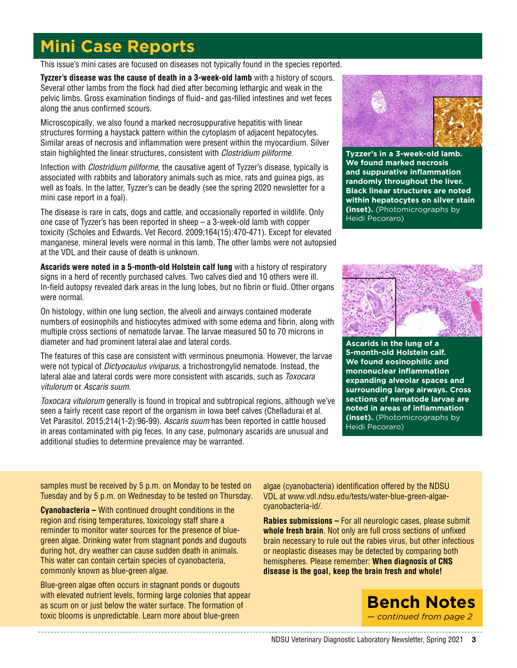## **Mini Case Reports**

This issue's mini cases are focused on diseases not typically found in the species reported.

**Tyzzer's disease was the cause of death in a 3-week-old lamb** with a history of scours. Several other lambs from the flock had died after becoming lethargic and weak in the pelvic limbs. Gross examination findings of fluid- and gas-filled intestines and wet feces along the anus confirmed scours.

Microscopically, we also found a marked necrosuppurative hepatitis with linear structures forming a haystack pattern within the cytoplasm of adjacent hepatocytes. Similar areas of necrosis and inflammation were present within the myocardium. Silver stain highlighted the linear structures, consistent with *Clostridium piliforme*.

Infection with *Clostridium piliforme*, the causative agent of Tyzzer's disease, typically is associated with rabbits and laboratory animals such as mice, rats and guinea pigs, as well as foals. In the latter, Tyzzer's can be deadly (see the spring 2020 newsletter for a mini case report in a foal).

The disease is rare in cats, dogs and cattle, and occasionally reported in wildlife. Only one case of Tyzzer's has been reported in sheep – a 3-week-old lamb with copper toxicity (Scholes and Edwards. Vet Record. 2009;164(15):470-471). Except for elevated manganese, mineral levels were normal in this lamb. The other lambs were not autopsied at the VDL and their cause of death is unknown.

**Ascarids were noted in a 5-month-old Holstein calf lung** with a history of respiratory signs in a herd of recently purchased calves. Two calves died and 10 others were ill. In-field autopsy revealed dark areas in the lung lobes, but no fibrin or fluid. Other organs were normal.

On histology, within one lung section, the alveoli and airways contained moderate numbers of eosinophils and histiocytes admixed with some edema and fibrin, along with multiple cross sections of nematode larvae. The larvae measured 50 to 70 microns in diameter and had prominent lateral alae and lateral cords.

The features of this case are consistent with verminous pneumonia. However, the larvae were not typical of *Dictyocaulus viviparus*, a trichostrongylid nematode. Instead, the lateral alae and lateral cords were more consistent with ascarids, such as *Toxocara vitulorum* or *Ascaris suum*.

*Toxocara vitulorum* generally is found in tropical and subtropical regions, although we've seen a fairly recent case report of the organism in Iowa beef calves (Chelladurai et al. Vet Parasitol. 2015;214(1-2):96-99). *Ascaris suum* has been reported in cattle housed in areas contaminated with pig feces. In any case, pulmonary ascarids are unusual and additional studies to determine prevalence may be warranted.



**Tyzzer's in a 3-week-old lamb. We found marked necrosis and suppurative inflammation randomly throughout the liver. Black linear structures are noted within hepatocytes on silver stain (inset).** (Photomicrographs by Heidi Pecoraro)



**Ascarids in the lung of a 5-month-old Holstein calf. We found eosinophilic and mononuclear inflammation expanding alveolar spaces and surrounding large airways. Cross sections of nematode larvae are noted in areas of inflammation (inset).** (Photomicrographs by Heidi Pecoraro)

samples must be received by 5 p.m. on Monday to be tested on Tuesday and by 5 p.m. on Wednesday to be tested on Thursday.

**Cyanobacteria –** With continued drought conditions in the region and rising temperatures, toxicology staff share a reminder to monitor water sources for the presence of bluegreen algae. Drinking water from stagnant ponds and dugouts during hot, dry weather can cause sudden death in animals. This water can contain certain species of cyanobacteria, commonly known as blue-green algae.

Blue-green algae often occurs in stagnant ponds or dugouts with elevated nutrient levels, forming large colonies that appear as scum on or just below the water surface. The formation of toxic blooms is unpredictable. Learn more about blue-green

algae (cyanobacteria) identification offered by the NDSU VDL at [www.vdl.ndsu.edu/tests/water-blue-green-algae](https://www.vdl.ndsu.edu/tests/water-blue-green-algae-cyanobacteria-id/)[cyanobacteria-id/.](https://www.vdl.ndsu.edu/tests/water-blue-green-algae-cyanobacteria-id/)

**Rabies submissions –** For all neurologic cases, please submit **whole fresh brain**. Not only are full cross sections of unfixed brain necessary to rule out the rabies virus, but other infectious or neoplastic diseases may be detected by comparing both hemispheres. Please remember: **When diagnosis of CNS disease is the goal, keep the brain fresh and whole!**